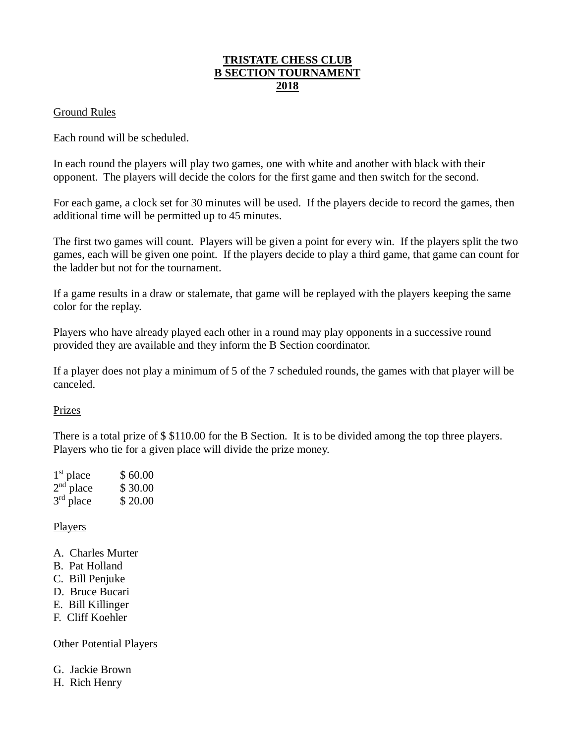## **TRISTATE CHESS CLUB B SECTION TOURNAMENT 2018**

## Ground Rules

Each round will be scheduled.

In each round the players will play two games, one with white and another with black with their opponent. The players will decide the colors for the first game and then switch for the second.

For each game, a clock set for 30 minutes will be used. If the players decide to record the games, then additional time will be permitted up to 45 minutes.

The first two games will count. Players will be given a point for every win. If the players split the two games, each will be given one point. If the players decide to play a third game, that game can count for the ladder but not for the tournament.

If a game results in a draw or stalemate, that game will be replayed with the players keeping the same color for the replay.

Players who have already played each other in a round may play opponents in a successive round provided they are available and they inform the B Section coordinator.

If a player does not play a minimum of 5 of the 7 scheduled rounds, the games with that player will be canceled.

#### Prizes

There is a total prize of \$ \$110.00 for the B Section. It is to be divided among the top three players. Players who tie for a given place will divide the prize money.

| $1st$ place | \$60.00 |
|-------------|---------|
| $2nd$ place | \$30.00 |
| $3rd$ place | \$20.00 |

#### Players

- A. Charles Murter
- B. Pat Holland
- C. Bill Penjuke
- D. Bruce Bucari
- E. Bill Killinger
- F. Cliff Koehler

## Other Potential Players

G. Jackie Brown

H. Rich Henry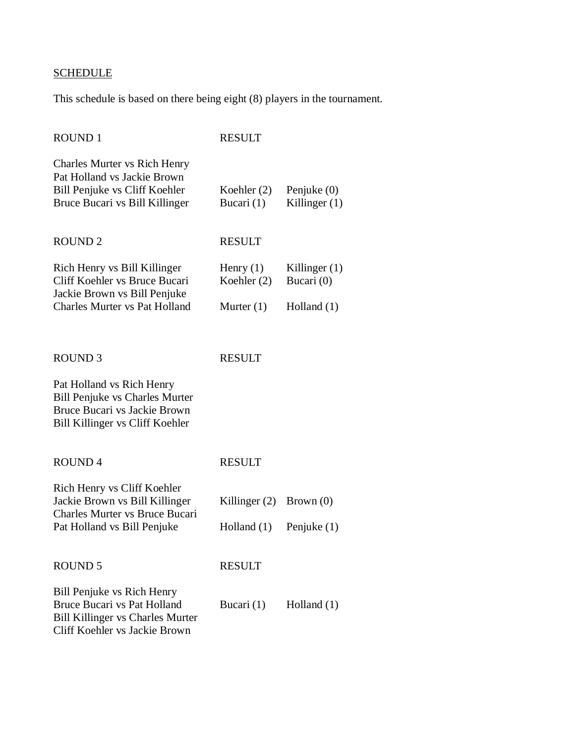# **SCHEDULE**

This schedule is based on there being eight (8) players in the tournament.

| <b>ROUND1</b>                                                                                                                                | <b>RESULT</b>               |                                  |
|----------------------------------------------------------------------------------------------------------------------------------------------|-----------------------------|----------------------------------|
| <b>Charles Murter vs Rich Henry</b><br>Pat Holland vs Jackie Brown<br>Bill Penjuke vs Cliff Koehler<br>Bruce Bucari vs Bill Killinger        | Koehler $(2)$<br>Bucari (1) | Penjuke $(0)$<br>Killinger $(1)$ |
| <b>ROUND2</b>                                                                                                                                | <b>RESULT</b>               |                                  |
| Rich Henry vs Bill Killinger<br>Cliff Koehler vs Bruce Bucari<br>Jackie Brown vs Bill Penjuke<br><b>Charles Murter vs Pat Holland</b>        | Henry $(1)$<br>Koehler (2)  | Killinger $(1)$<br>Bucari (0)    |
|                                                                                                                                              | Murter $(1)$                | Holland $(1)$                    |
| <b>ROUND 3</b>                                                                                                                               | <b>RESULT</b>               |                                  |
| Pat Holland vs Rich Henry<br><b>Bill Penjuke vs Charles Murter</b><br>Bruce Bucari vs Jackie Brown<br>Bill Killinger vs Cliff Koehler        |                             |                                  |
| <b>ROUND4</b>                                                                                                                                | <b>RESULT</b>               |                                  |
| Rich Henry vs Cliff Koehler<br>Jackie Brown vs Bill Killinger<br>Charles Murter vs Bruce Bucari<br>Pat Holland vs Bill Penjuke               | Killinger $(2)$             | Brown $(0)$                      |
|                                                                                                                                              | Holland $(1)$               | Penjuke (1)                      |
| <b>ROUND 5</b>                                                                                                                               | <b>RESULT</b>               |                                  |
| Bill Penjuke vs Rich Henry<br><b>Bruce Bucari vs Pat Holland</b><br><b>Bill Killinger vs Charles Murter</b><br>Cliff Koehler vs Jackie Brown | Bucari $(1)$                | Holland $(1)$                    |